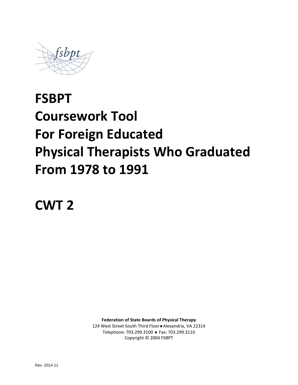

# **FSBPT Coursework Tool For Foreign Educated Physical Therapists Who Graduated From 1978 to 1991**

**CWT 2**

**Federation of State Boards of Physical Therapy** 124 West Street South Third Floor♦Alexandria, VA 22314 Telephone: 703.299.3100 ♦ Fax: 703.299.3110 Copyright © 2004 FSBPT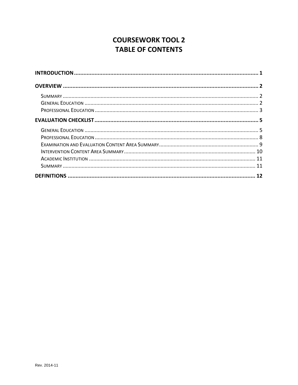# **COURSEWORK TOOL 2 TABLE OF CONTENTS**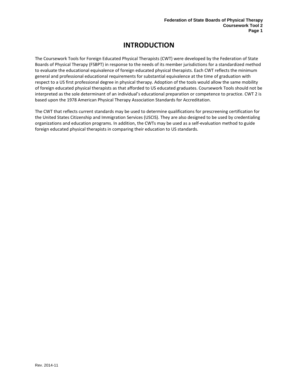# **INTRODUCTION**

<span id="page-2-0"></span>The Coursework Tools for Foreign Educated Physical Therapists (CWT) were developed by the Federation of State Boards of Physical Therapy (FSBPT) in response to the needs of its member jurisdictions for a standardized method to evaluate the educational equivalence of foreign educated physical therapists. Each CWT reflects the minimum general and professional educational requirements for substantial equivalence at the time of graduation with respect to a US first professional degree in physical therapy. Adoption of the tools would allow the same mobility of foreign educated physical therapists as that afforded to US educated graduates. Coursework Tools should not be interpreted as the sole determinant of an individual's educational preparation or competence to practice. CWT 2 is based upon the 1978 American Physical Therapy Association Standards for Accreditation.

The CWT that reflects current standards may be used to determine qualifications for prescreening certification for the United States Citizenship and Immigration Services (USCIS). They are also designed to be used by credentialing organizations and education programs. In addition, the CWTs may be used as a self-evaluation method to guide foreign educated physical therapists in comparing their education to US standards.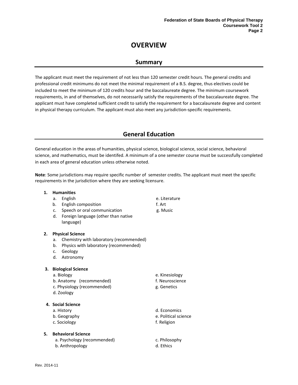# **OVERVIEW**

## **Summary**

<span id="page-3-1"></span><span id="page-3-0"></span>The applicant must meet the requirement of not less than 120 semester credit hours. The general credits and professional credit minimums do not meet the minimal requirement of a B.S. degree, thus electives could be included to meet the minimum of 120 credits hour and the baccalaureate degree. The minimum coursework requirements, in and of themselves, do not necessarily satisfy the requirements of the baccalaureate degree. The applicant must have completed sufficient credit to satisfy the requirement for a baccalaureate degree and content in physical therapy curriculum. The applicant must also meet any jurisdiction-specific requirements.

## **General Education**

<span id="page-3-2"></span>General education in the areas of humanities, physical science, biological science, social science, behavioral science, and mathematics, must be identifed. A minimum of a one semester course must be successfully completed in each area of general education unless otherwise noted.

**Note**: Some jurisdictions may require specific number of semester credits. The applicant must meet the specific requirements in the jurisdiction where they are seeking licensure.

| 1. |    | <b>Humanities</b>                                   |            |
|----|----|-----------------------------------------------------|------------|
|    | a. | English                                             | e. Literat |
|    | b. | <b>English composition</b>                          | f. Art     |
|    |    | c. Speech or oral communication                     | g. Music   |
|    |    | d. Foreign language (other than native<br>language) |            |
| 2. |    | <b>Physical Science</b>                             |            |
|    | a. | Chemistry with laboratory (recommended)             |            |
|    | b. | Physics with laboratory (recommended)               |            |
|    |    | c. Geology                                          |            |
|    | d. | Astronomy                                           |            |
| З. |    | <b>Biological Science</b>                           |            |
|    |    | a. Biology                                          | e. Kinesi  |
|    |    | b. Anatomy (recommended)                            | f. Neuros  |
|    |    | c. Physiology (recommended)                         | g. Geneti  |
|    |    | d. Zoology                                          |            |
|    |    | 4. Social Science                                   |            |
|    |    | a. History                                          | d. Econo   |
|    |    | b. Geography                                        | e. Politic |
|    |    | c. Sociology                                        | f. Religio |
| 5. |    | <b>Behavioral Science</b>                           |            |

- a. Psychology (recommended) example a c. Philosophy
- b. Anthropology and the control of the control of the control of the control of the control of the control of the control of the control of the control of the control of the control of the control of the control of the con
- Kinesiology
- Neuroscience

Literature

**Genetics** 

**Economics** 

- Political science
- Religion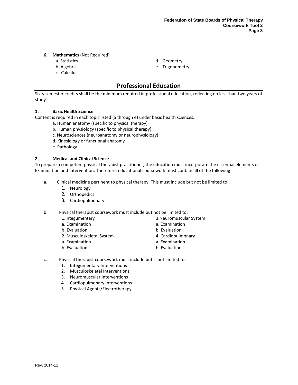#### **6. Mathematics** (Not Required)

- 
- 
- c. Calculus
- a. Statistics d. Geometry
- b. Algebra e. Trigonometry

## **Professional Education**

<span id="page-4-0"></span>Sixty semester credits shall be the minimum required in professional education, reflecting no less than two years of study.

#### **1. Basic Health Science**

Content is required in each topic listed (a through e) under basic health sciences**.**

- a. Human anatomy (specific to physical therapy)
- b. Human physiology (specific to physical therapy)
- c. Neurosciences (neuroanatomy or neurophysiology)
- d. Kinesiology or functional anatomy
- e. Pathology

#### **2. Medical and Clinical Science**

To prepare a competent physical therapist practitioner, the education must incorporate the essential elements of Examination and Intervention. Therefore, educational coursework must contain all of the following:

- a. Clinical medicine pertinent to physical therapy. This must include but not be limited to:
	- 1. Neurology
	- 2. Orthopedics
	- 3. Cardiopulmonary

b. Physical therapist coursework must include but not be limited to:

- 1.Integumentary
- a. Examination
- b. Evaluation
- 2. Musculoskeletal System
- a. Examination
- b. Evaluation
- 3.Neuromuscular System
- a. Examination
- b. Evaluation
- 4. Cardiopulmonary
- a. Examination
- b. Evaluation
- c. Physical therapist coursework must include but is not limited to:
	- 1. Integumentary Interventions
	- 2. Musculoskeletal Interventions
	- 3. Neuromuscular Interventions
	- 4. Cardiopulmonary Interventions
	- 5. Physical Agents/Electrotherapy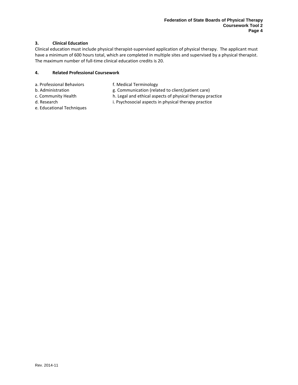#### **3. Clinical Education**

Clinical education must include physical therapist-supervised application of physical therapy. The applicant must have a minimum of 600 hours total, which are completed in multiple sites and supervised by a physical therapist. The maximum number of full-time clinical education credits is 20.

#### **4. Related Professional Coursework**

- a. Professional Behaviors f. Medical Terminology
	-
- b. Administration example as g. Communication (related to client/patient care)
- -
- c. Community Health h. Legal and ethical aspects of physical therapy practice
- d. Research i. Psychosocial aspects in physical therapy practice
- e. Educational Techniques
-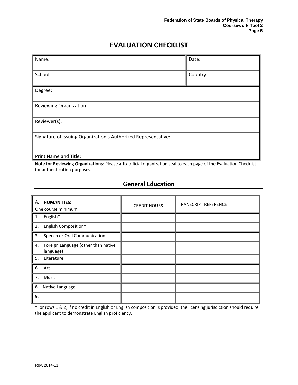# **EVALUATION CHECKLIST**

<span id="page-6-0"></span>

| Name:                                                          | Date:    |  |  |
|----------------------------------------------------------------|----------|--|--|
|                                                                |          |  |  |
| School:                                                        | Country: |  |  |
|                                                                |          |  |  |
| Degree:                                                        |          |  |  |
|                                                                |          |  |  |
| Reviewing Organization:                                        |          |  |  |
|                                                                |          |  |  |
| Reviewer(s):                                                   |          |  |  |
|                                                                |          |  |  |
| Signature of Issuing Organization's Authorized Representative: |          |  |  |
|                                                                |          |  |  |
|                                                                |          |  |  |
| Print Name and Title:                                          |          |  |  |

**Note for Reviewing Organizations**: Please affix official organization seal to each page of the Evaluation Checklist for authentication purposes.

# **General Education**

<span id="page-6-1"></span>

| Α.<br><b>HUMANITIES:</b><br>One course minimum         | <b>CREDIT HOURS</b> | <b>TRANSCRIPT REFERENCE</b> |
|--------------------------------------------------------|---------------------|-----------------------------|
| English*<br>1.                                         |                     |                             |
| 2. English Composition*                                |                     |                             |
| Speech or Oral Communication<br>3.                     |                     |                             |
| Foreign Language (other than native<br>4.<br>language) |                     |                             |
| 5.<br>Literature                                       |                     |                             |
| 6. Art                                                 |                     |                             |
| 7.<br>Music                                            |                     |                             |
| 8.<br>Native Language                                  |                     |                             |
| 9.                                                     |                     |                             |

\*For rows 1 & 2, if no credit in English or English composition is provided, the licensing jurisdiction should require the applicant to demonstrate English proficiency.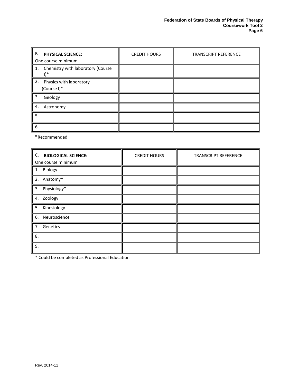| В.<br><b>PHYSICAL SCIENCE:</b><br>One course minimum | <b>CREDIT HOURS</b> | <b>TRANSCRIPT REFERENCE</b> |
|------------------------------------------------------|---------------------|-----------------------------|
| 1. Chemistry with laboratory (Course<br>*۱۱          |                     |                             |
| 2.<br>Physics with laboratory<br>(Course I)*         |                     |                             |
| 3.<br>Geology                                        |                     |                             |
| 4.<br>Astronomy                                      |                     |                             |
| 5.                                                   |                     |                             |
| 6.                                                   |                     |                             |

**\***Recommended

| C. BIOLOGICAL SCIENCE:<br>One course minimum | <b>CREDIT HOURS</b> | <b>TRANSCRIPT REFERENCE</b> |
|----------------------------------------------|---------------------|-----------------------------|
| 1. Biology                                   |                     |                             |
| 2. Anatomy*                                  |                     |                             |
| 3. Physiology*                               |                     |                             |
| 4. Zoology                                   |                     |                             |
| 5. Kinesiology                               |                     |                             |
| 6. Neuroscience                              |                     |                             |
| 7. Genetics                                  |                     |                             |
| 8.                                           |                     |                             |
| 9.                                           |                     |                             |

\* Could be completed as Professional Education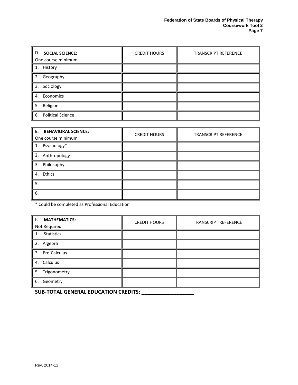| <b>SOCIAL SCIENCE:</b><br>D.<br>One course minimum | <b>CREDIT HOURS</b> | <b>TRANSCRIPT REFERENCE</b> |
|----------------------------------------------------|---------------------|-----------------------------|
| 1. History                                         |                     |                             |
| 2. Geography                                       |                     |                             |
| 3. Sociology                                       |                     |                             |
| 4. Economics                                       |                     |                             |
| 5. Religion                                        |                     |                             |
| 6. Political Science                               |                     |                             |

| E. BEHAVIORAL SCIENCE:<br>One course minimum | <b>CREDIT HOURS</b> | <b>TRANSCRIPT REFERENCE</b> |
|----------------------------------------------|---------------------|-----------------------------|
| 1. Psychology*                               |                     |                             |
| 2. Anthropology                              |                     |                             |
| 3. Philosophy                                |                     |                             |
| 4. Ethics                                    |                     |                             |
| 5.                                           |                     |                             |
| 6.                                           |                     |                             |

\* Could be completed as Professional Education

| F. MATHEMATICS:<br>Not Required | <b>CREDIT HOURS</b> | <b>TRANSCRIPT REFERENCE</b> |
|---------------------------------|---------------------|-----------------------------|
| Statistics<br>1.                |                     |                             |
| 2. Algebra                      |                     |                             |
| 3. Pre-Calculus                 |                     |                             |
| 4. Calculus                     |                     |                             |
| 5. Trigonometry                 |                     |                             |
| 6. Geometry                     |                     |                             |

**SUB-TOTAL GENERAL EDUCATION CREDITS: \_\_\_\_\_\_\_\_\_\_\_\_\_\_\_\_\_\_**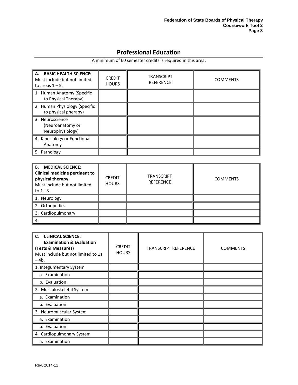# **Professional Education**

A minimum of 60 semester credits is required in this area.

<span id="page-9-0"></span>

| A. BASIC HEALTH SCIENCE:<br>Must include but not limited<br>to areas $1 - 5$ . | <b>CREDIT</b><br><b>HOURS</b> | <b>TRANSCRIPT</b><br><b>REFERENCE</b> | <b>COMMENTS</b> |
|--------------------------------------------------------------------------------|-------------------------------|---------------------------------------|-----------------|
| 1. Human Anatomy (Specific<br>to Physical Therapy)                             |                               |                                       |                 |
| 2. Human Physiology (Specific<br>to physical pherapy)                          |                               |                                       |                 |
| 3. Neuroscience<br>(Neuroanatomy or<br>Neurophysiology)                        |                               |                                       |                 |
| 4. Kinesiology or Functional<br>Anatomy                                        |                               |                                       |                 |
| 5. Pathology                                                                   |                               |                                       |                 |

| <b>MEDICAL SCIENCE:</b><br><b>B.</b><br><b>Clinical medicine pertinent to</b><br>physical therapy.<br>Must include but not limited<br>to $1 - 3$ . | <b>CREDIT</b><br><b>HOURS</b> | <b>TRANSCRIPT</b><br><b>REFERENCE</b> | <b>COMMENTS</b> |
|----------------------------------------------------------------------------------------------------------------------------------------------------|-------------------------------|---------------------------------------|-----------------|
| 1. Neurology                                                                                                                                       |                               |                                       |                 |
| 2. Orthopedics                                                                                                                                     |                               |                                       |                 |
| 3. Cardiopulmonary                                                                                                                                 |                               |                                       |                 |
| 4.                                                                                                                                                 |                               |                                       |                 |

| C.<br><b>CLINICAL SCIENCE:</b><br><b>Examination &amp; Evaluation</b><br>(Tests & Measures)<br>Must include but not limited to 1a<br>$-4b.$ | <b>CREDIT</b><br><b>HOURS</b> | <b>TRANSCRIPT REFERENCE</b> | <b>COMMENTS</b> |
|---------------------------------------------------------------------------------------------------------------------------------------------|-------------------------------|-----------------------------|-----------------|
| 1. Integumentary System                                                                                                                     |                               |                             |                 |
| a. Examination                                                                                                                              |                               |                             |                 |
| b. Evaluation                                                                                                                               |                               |                             |                 |
| 2. Musculoskeletal System                                                                                                                   |                               |                             |                 |
| a. Examination                                                                                                                              |                               |                             |                 |
| b. Evaluation                                                                                                                               |                               |                             |                 |
| 3. Neuromuscular System                                                                                                                     |                               |                             |                 |
| a. Examination                                                                                                                              |                               |                             |                 |
| b. Evaluation                                                                                                                               |                               |                             |                 |
| 4. Cardiopulmonary System                                                                                                                   |                               |                             |                 |
| a. Examination                                                                                                                              |                               |                             |                 |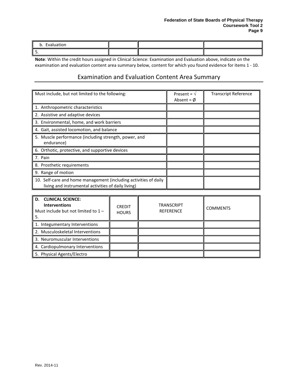#### **Federation of State Boards of Physical Therapy Coursework Tool 2 Page 9**

| ՝<br>. |  |  |
|--------|--|--|
| ، پ    |  |  |

**Note**: Within the credit hours assigned in Clinical Science: Examination and Evaluation above, indicate on the examination and evaluation content area summary below, content for which you found evidence for items 1 - 10.

## Examination and Evaluation Content Area Summary

<span id="page-10-0"></span>

| Must include, but not limited to the following:                                                                         | Present = $\sqrt{ }$<br>Absent = $\emptyset$ | <b>Transcript Reference</b> |
|-------------------------------------------------------------------------------------------------------------------------|----------------------------------------------|-----------------------------|
| 1. Anthropometric characteristics                                                                                       |                                              |                             |
| 2. Assistive and adaptive devices                                                                                       |                                              |                             |
| 3. Environmental, home, and work barriers                                                                               |                                              |                             |
| 4. Gait, assisted locomotion, and balance                                                                               |                                              |                             |
| 5. Muscle performance (including strength, power, and<br>endurance)                                                     |                                              |                             |
| 6. Orthotic, protective, and supportive devices                                                                         |                                              |                             |
| 7. Pain                                                                                                                 |                                              |                             |
| 8. Prosthetic requirements                                                                                              |                                              |                             |
| 9. Range of motion                                                                                                      |                                              |                             |
| 10. Self-care and home management (including activities of daily<br>living and instrumental activities of daily living) |                                              |                             |

| <b>CLINICAL SCIENCE:</b><br>D.<br><b>Interventions</b><br>Must include but not limited to $1 -$<br>5. | <b>CREDIT</b><br><b>HOURS</b> | <b>TRANSCRIPT</b><br><b>REFERENCE</b> | <b>COMMENTS</b> |
|-------------------------------------------------------------------------------------------------------|-------------------------------|---------------------------------------|-----------------|
| 1. Integumentary Interventions                                                                        |                               |                                       |                 |
| 2. Musculoskeletal Interventions                                                                      |                               |                                       |                 |
| 3. Neuromuscular Interventions                                                                        |                               |                                       |                 |
| 4. Cardiopulmonary Interventions                                                                      |                               |                                       |                 |
| 5. Physical Agents/Electro                                                                            |                               |                                       |                 |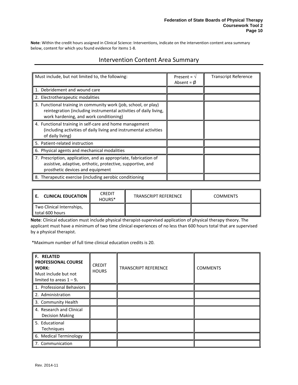<span id="page-11-0"></span>**Note**: Within the credit hours assigned in Clinical Science: Interventions, indicate on the intervention content area summary below, content for which you found evidence for items 1-8.

## Intervention Content Area Summary

| Must include, but not limited to, the following:                                                                                                                               | Present = $\sqrt{ }$<br>Absent = $\phi$ | <b>Transcript Reference</b> |
|--------------------------------------------------------------------------------------------------------------------------------------------------------------------------------|-----------------------------------------|-----------------------------|
| 1. Debridement and wound care                                                                                                                                                  |                                         |                             |
| 2. Electrotherapeutic modalities                                                                                                                                               |                                         |                             |
| 3. Functional training in community work (job, school, or play)<br>reintegration (including instrumental activities of daily living,<br>work hardening, and work conditioning) |                                         |                             |
| 4. Functional training in self-care and home management<br>(including activities of daily living and instrumental activities<br>of daily living)                               |                                         |                             |
| 5. Patient-related instruction                                                                                                                                                 |                                         |                             |
| 6. Physical agents and mechanical modalities                                                                                                                                   |                                         |                             |
| 7. Prescription, application, and as appropriate, fabrication of<br>assistive, adaptive, orthotic, protective, supportive, and<br>prosthetic devices and equipment             |                                         |                             |
| 8. Therapeutic exercise (including aerobic conditioning                                                                                                                        |                                         |                             |

| <b>CLINICAL EDUCATION II</b>                 | <b>CREDIT</b><br>HOURS <sup>*</sup> | <b>TRANSCRIPT REFERENCE</b> | <b>COMMENTS</b> |
|----------------------------------------------|-------------------------------------|-----------------------------|-----------------|
| Two Clinical Internships,<br>total 600 hours |                                     |                             |                 |

**Note**: Clinical education must include physical therapist-supervised application of physical therapy theory. The applicant must have a minimum of two time clinical experiences of no less than 600 hours total that are supervised by a physical therapist.

\*Maximum number of full time clinical education credits is 20.

| <b>F. RELATED</b><br><b>PROFESSIONAL COURSE</b><br>WORK:<br>Must include but not<br>limited to areas $1 - 9$ . | <b>CREDIT</b><br><b>HOURS</b> | <b>TRANSCRIPT REFERENCE</b> | <b>COMMENTS</b> |
|----------------------------------------------------------------------------------------------------------------|-------------------------------|-----------------------------|-----------------|
| 1. Professional Behaviors                                                                                      |                               |                             |                 |
| 2. Administration                                                                                              |                               |                             |                 |
| 3. Community Health                                                                                            |                               |                             |                 |
| 4. Research and Clinical<br><b>Decision Making</b>                                                             |                               |                             |                 |
| 5. Educational<br>Techniques                                                                                   |                               |                             |                 |
| 6. Medical Terminology                                                                                         |                               |                             |                 |
| 7. Communication                                                                                               |                               |                             |                 |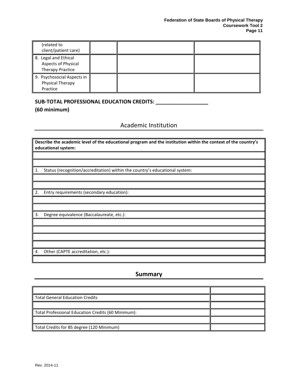| (related to<br>client/patient care)                             |  |  |
|-----------------------------------------------------------------|--|--|
| 8. Legal and Ethical<br>Aspects of Physical<br>Therapy Practice |  |  |
| 9. Psychosocial Aspects in<br>Physical Therapy<br>Practice      |  |  |

#### **SUB-TOTAL PROFESSIONAL EDUCATION CREDITS: \_\_\_\_\_\_\_\_\_\_\_\_\_\_\_\_\_\_**

### <span id="page-12-0"></span>**(60 minimum)**

Academic Institution

**Describe the academic level of the educational program and the institution within the context of the country's educational system:**

1. Status (recognition/accreditation) within the country's educational system:

2. Entry requirements (secondary education):

3. Degree equivalence (Baccalaureate, etc.):

4. Other (CAPTE accreditation, etc.):

## **Summary**

<span id="page-12-1"></span>

| l Total General Education Credits                  |  |
|----------------------------------------------------|--|
|                                                    |  |
| Total Professional Education Credits (60 Minimum): |  |
|                                                    |  |
| Total Credits for BS degree (120 Minimum)          |  |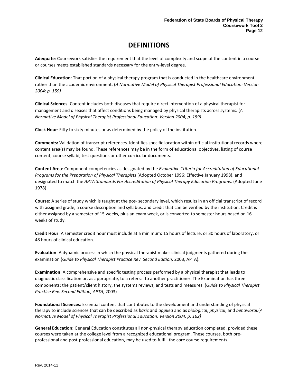# **DEFINITIONS**

<span id="page-13-0"></span>**Adequate**: Coursework satisfies the requirement that the level of complexity and scope of the content in a course or courses meets established standards necessary for the entry-level degree.

**Clinical Education**: That portion of a physical therapy program that is conducted in the healthcare environment rather than the academic environment. (*A Normative Model of Physical Therapist Professional Education: Version 2004: p. 159)*

**Clinical Sciences**: Content includes both diseases that require direct intervention of a physical therapist for management and diseases that affect conditions being managed by physical therapists across systems. (*A Normative Model of Physical Therapist Professional Education: Version 2004; p. 159)*

**Clock Hour**: Fifty to sixty minutes or as determined by the policy of the institution.

**Comments:** Validation of transcript references. Identifies specific location within official institutional records where content area(s) may be found. These references may be in the form of educational objectives, listing of course content, course syllabi, test questions or other curricular documents.

**Content Area**: Component competencies as designated by the *Evaluative Criteria for Accreditation of Educational Programs for the Preparation of Physical Therapists* (Adopted October 1996; Effective January 1998), and designated to match the *APTA Standards For Accreditation of Physical Therapy Education Programs.* (Adopted June 1978)

**Course:** A series of study which is taught at the pos- secondary level, which results in an official transcript of record with assigned grade, a course description and syllabus, and credit that can be verified by the institution. Credit is either assigned by a semester of 15 weeks, plus an exam week, or is converted to semester hours based on 16 weeks of study.

**Credit Hour**: A semester credit hour must include at a minimum: 15 hours of lecture, or 30 hours of laboratory, or 48 hours of clinical education.

**Evaluation**: A dynamic process in which the physical therapist makes clinical judgments gathered during the examination (*Guide to Physical Therapist Practice Rev. Second Edition,* 2003, APTA).

**Examination**: A comprehensive and specific testing process performed by a physical therapist that leads to diagnostic classification or, as appropriate, to a referral to another practitioner. The Examination has three components: the patient/client history, the systems reviews, and tests and measures. (*Guide to Physical Therapist Practice Rev. Second Edition, APTA,* 2003)

**Foundational Sciences**: Essential content that contributes to the development and understanding of physical therapy to include sciences that can be described as *basic* and *applied* and as *biological*, *physical*, and *behavioral*.(*A Normative Model of Physical Therapist Professional Education: Version 2004, p. 162)*

**General Education:** General Education constitutes all non-physical therapy education completed, provided these courses were taken at the college level from a recognized educational program. These courses, both preprofessional and post-professional education, may be used to fulfill the core course requirements.